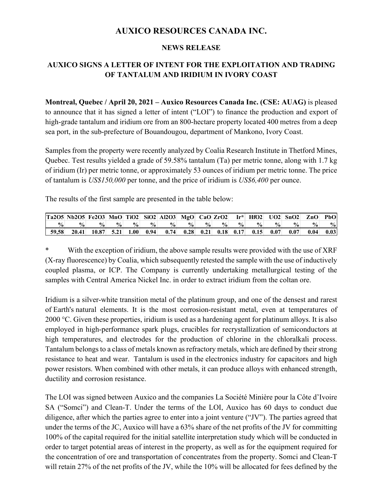# **AUXICO RESOURCES CANADA INC.**

#### **NEWS RELEASE**

## **AUXICO SIGNS A LETTER OF INTENT FOR THE EXPLOITATION AND TRADING OF TANTALUM AND IRIDIUM IN IVORY COAST**

**Montreal, Quebec / April 20, 2021 – Auxico Resources Canada Inc. (CSE: AUAG)** is pleased to announce that it has signed a letter of intent ("LOI") to finance the production and export of high-grade tantalum and iridium ore from an 800-hectare property located 400 metres from a deep sea port, in the sub-prefecture of Bouandougou, department of Mankono, Ivory Coast.

Samples from the property were recently analyzed by Coalia Research Institute in Thetford Mines, Quebec. Test results yielded a grade of 59.58% tantalum (Ta) per metric tonne, along with 1.7 kg of iridium (Ir) per metric tonne, or approximately 53 ounces of iridium per metric tonne. The price of tantalum is *US\$150,000* per tonne, and the price of iridium is *US\$6,400* per ounce.

The results of the first sample are presented in the table below:

|               | $\vert$ Ta2O5 Nb2O5 Fe2O3 MnO TiO2 SiO2 Al2O3 MgO CaO ZrO2 |               |               |               |      |               |               |               |                  | $\mathbf{Ir}^{\star}$ |               |      | $HfO2$ UO2 SnO2 | ZnO           | PbO           |
|---------------|------------------------------------------------------------|---------------|---------------|---------------|------|---------------|---------------|---------------|------------------|-----------------------|---------------|------|-----------------|---------------|---------------|
| $\frac{6}{9}$ | $\frac{1}{2}$                                              | $\frac{9}{6}$ | $\frac{6}{9}$ | $\frac{0}{0}$ | $\%$ | $\frac{0}{0}$ | $\frac{0}{0}$ | $\frac{0}{0}$ | $\frac{6}{9}$    | $\frac{0}{0}$         | $\frac{0}{0}$ | $\%$ | $\frac{6}{9}$   | $\frac{0}{0}$ | $\frac{9}{6}$ |
| 59.58         | 20.41                                                      | 10.87         | 5.21          | 1.00          | 0.94 | 0.74          |               |               | $0.28$ 0.21 0.18 | 0.17                  | 0.15          | 0.07 | 0.07            | 0.04          | 0.03          |

With the exception of iridium, the above sample results were provided with the use of XRF (X-ray fluorescence) by Coalia, which subsequently retested the sample with the use of inductively coupled plasma, or ICP. The Company is currently undertaking metallurgical testing of the samples with Central America Nickel Inc. in order to extract iridium from the coltan ore.

Iridium is a silver-white transition metal of the platinum group, and one of the densest and rarest of Earth's natural elements. It is the most corrosion-resistant metal, even at temperatures of 2000 °C. Given these properties, iridium is used as a hardening agent for platinum alloys. It is also employed in high-performance spark plugs, crucibles for recrystallization of semiconductors at high temperatures, and electrodes for the production of chlorine in the chloralkali process. Tantalum belongs to a class of metals known as refractory metals, which are defined by their strong resistance to heat and wear. Tantalum is used in the electronics industry for capacitors and high power resistors. When combined with other metals, it can produce alloys with enhanced strength, ductility and corrosion resistance.

The LOI was signed between Auxico and the companies La Société Minière pour la Côte d'Ivoire SA ("Somci") and Clean-T. Under the terms of the LOI, Auxico has 60 days to conduct due diligence, after which the parties agree to enter into a joint venture ("JV"). The parties agreed that under the terms of the JC, Auxico will have a 63% share of the net profits of the JV for committing 100% of the capital required for the initial satellite interpretation study which will be conducted in order to target potential areas of interest in the property, as well as for the equipment required for the concentration of ore and transportation of concentrates from the property. Somci and Clean-T will retain 27% of the net profits of the JV, while the 10% will be allocated for fees defined by the